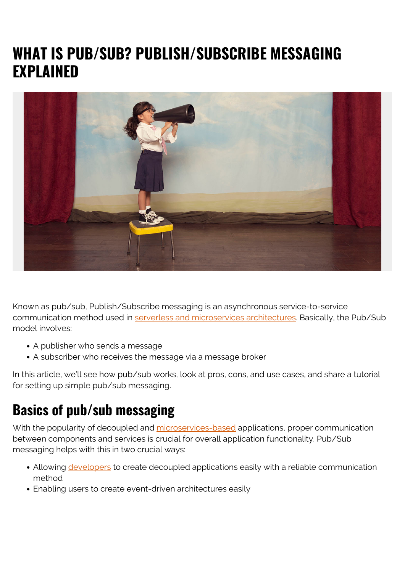# **WHAT IS PUB/SUB? PUBLISH/SUBSCRIBE MESSAGING EXPLAINED**



Known as pub/sub, Publish/Subscribe messaging is an asynchronous service-to-service communication method used in [serverless and microservices architectures](https://blogs.bmc.com/blogs/microservices-vs-serverless/). Basically, the Pub/Sub model involves:

- A publisher who sends a message
- A subscriber who receives the message via a message broker

In this article, we'll see how pub/sub works, look at pros, cons, and use cases, and share a tutorial for setting up simple pub/sub messaging.

# **Basics of pub/sub messaging**

With the popularity of decoupled and [microservices-based](https://blogs.bmc.com/blogs/microservices-architecture/) applications, proper communication between components and services is crucial for overall application functionality. Pub/Sub messaging helps with this in two crucial ways:

- Allowing [developers](https://blogs.bmc.com/blogs/application-developer-roles-responsibilities/) to create decoupled applications easily with a reliable communication method
- Enabling users to create event-driven architectures easily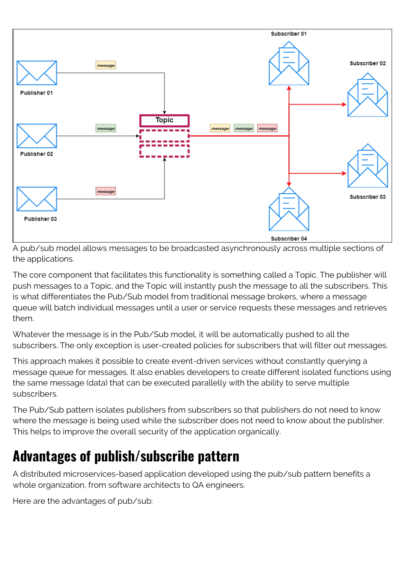

A pub/sub model allows messages to be broadcasted asynchronously across multiple sections of the applications.

The core component that facilitates this functionality is something called a Topic. The publisher will push messages to a Topic, and the Topic will instantly push the message to all the subscribers. This is what differentiates the Pub/Sub model from traditional message brokers, where a message queue will batch individual messages until a user or service requests these messages and retrieves them.

Whatever the message is in the Pub/Sub model, it will be automatically pushed to all the subscribers. The only exception is user-created policies for subscribers that will filter out messages.

This approach makes it possible to create event-driven services without constantly querying a message queue for messages. It also enables developers to create different isolated functions using the same message (data) that can be executed parallelly with the ability to serve multiple subscribers.

The Pub/Sub pattern isolates publishers from subscribers so that publishers do not need to know where the message is being used while the subscriber does not need to know about the publisher. This helps to improve the overall security of the application organically.

# **Advantages of publish/subscribe pattern**

A distributed microservices-based application developed using the pub/sub pattern benefits a whole organization, from software architects to QA engineers.

Here are the advantages of pub/sub: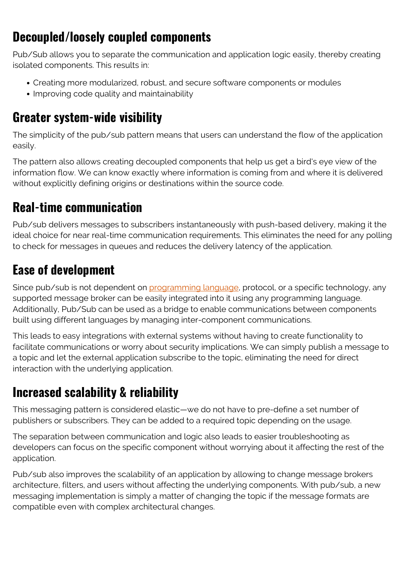### **Decoupled/loosely coupled components**

Pub/Sub allows you to separate the communication and application logic easily, thereby creating isolated components. This results in:

- Creating more modularized, robust, and secure software components or modules
- Improving code quality and maintainability

### **Greater system-wide visibility**

The simplicity of the pub/sub pattern means that users can understand the flow of the application easily.

The pattern also allows creating decoupled components that help us get a bird's eye view of the information flow. We can know exactly where information is coming from and where it is delivered without explicitly defining origins or destinations within the source code.

### **Real-time communication**

Pub/sub delivers messages to subscribers instantaneously with push-based delivery, making it the ideal choice for near real-time communication requirements. This eliminates the need for any polling to check for messages in queues and reduces the delivery latency of the application.

# **Ease of development**

Since pub/sub is not dependent on [programming language,](https://blogs.bmc.com/blogs/programming-languages/) protocol, or a specific technology, any supported message broker can be easily integrated into it using any programming language. Additionally, Pub/Sub can be used as a bridge to enable communications between components built using different languages by managing inter-component communications.

This leads to easy integrations with external systems without having to create functionality to facilitate communications or worry about security implications. We can simply publish a message to a topic and let the external application subscribe to the topic, eliminating the need for direct interaction with the underlying application.

# **Increased scalability & reliability**

This messaging pattern is considered elastic—we do not have to pre-define a set number of publishers or subscribers. They can be added to a required topic depending on the usage.

The separation between communication and logic also leads to easier troubleshooting as developers can focus on the specific component without worrying about it affecting the rest of the application.

Pub/sub also improves the scalability of an application by allowing to change message brokers architecture, filters, and users without affecting the underlying components. With pub/sub, a new messaging implementation is simply a matter of changing the topic if the message formats are compatible even with complex architectural changes.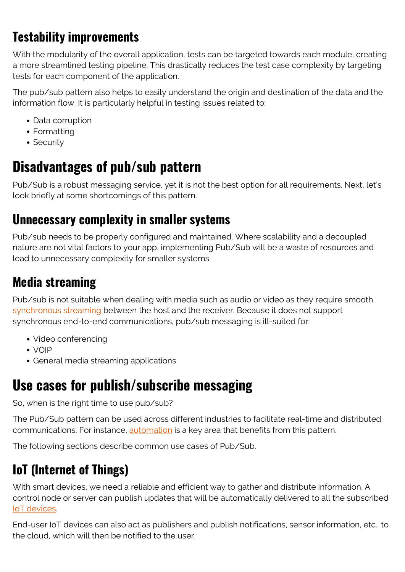# **Testability improvements**

With the modularity of the overall application, tests can be targeted towards each module, creating a more streamlined testing pipeline. This drastically reduces the test case complexity by targeting tests for each component of the application.

The pub/sub pattern also helps to easily understand the origin and destination of the data and the information flow. It is particularly helpful in testing issues related to:

- Data corruption
- Formatting
- Security

# **Disadvantages of pub/sub pattern**

Pub/Sub is a robust messaging service, yet it is not the best option for all requirements. Next, let's look briefly at some shortcomings of this pattern.

#### **Unnecessary complexity in smaller systems**

Pub/sub needs to be properly configured and maintained. Where scalability and a decoupled nature are not vital factors to your app, implementing Pub/Sub will be a waste of resources and lead to unnecessary complexity for smaller systems

### **Media streaming**

Pub/sub is not suitable when dealing with media such as audio or video as they require smooth [synchronous streaming](https://blogs.bmc.com/blogs/data-streaming/) between the host and the receiver. Because it does not support synchronous end-to-end communications, pub/sub messaging is ill-suited for:

- Video conferencing
- VOIP
- General media streaming applications

# **Use cases for publish/subscribe messaging**

So, when is the right time to use pub/sub?

The Pub/Sub pattern can be used across different industries to facilitate real-time and distributed communications. For instance, [automation](https://blogs.bmc.com/blogs/it-automation/) is a key area that benefits from this pattern.

The following sections describe common use cases of Pub/Sub.

# **IoT (Internet of Things)**

With smart devices, we need a reliable and efficient way to gather and distribute information. A control node or server can publish updates that will be automatically delivered to all the subscribed [IoT devices](https://blogs.bmc.com/blogs/iot-internet-of-things/).

End-user IoT devices can also act as publishers and publish notifications, sensor information, etc., to the cloud, which will then be notified to the user.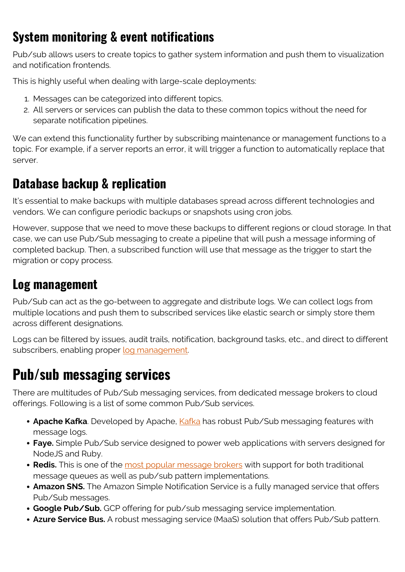### **System monitoring & event notifications**

Pub/sub allows users to create topics to gather system information and push them to visualization and notification frontends.

This is highly useful when dealing with large-scale deployments:

- 1. Messages can be categorized into different topics.
- 2. All servers or services can publish the data to these common topics without the need for separate notification pipelines.

We can extend this functionality further by subscribing maintenance or management functions to a topic. For example, if a server reports an error, it will trigger a function to automatically replace that server.

#### **Database backup & replication**

It's essential to make backups with multiple databases spread across different technologies and vendors. We can configure periodic backups or snapshots using cron jobs.

However, suppose that we need to move these backups to different regions or cloud storage. In that case, we can use Pub/Sub messaging to create a pipeline that will push a message informing of completed backup. Then, a subscribed function will use that message as the trigger to start the migration or copy process.

#### **Log management**

Pub/Sub can act as the go-between to aggregate and distribute logs. We can collect logs from multiple locations and push them to subscribed services like elastic search or simply store them across different designations.

Logs can be filtered by issues, audit trails, notification, background tasks, etc., and direct to different subscribers, enabling proper [log management.](https://blogs.bmc.com/blogs/siem-vs-log-management-whats-the-difference/)

# **Pub/sub messaging services**

There are multitudes of Pub/Sub messaging services, from dedicated message brokers to cloud offerings. Following is a list of some common Pub/Sub services.

- **Apache Kafka**. Developed by Apache, [Kafka](https://blogs.bmc.com/blogs/working-streaming-twitter-data-using-kafka/) has robust Pub/Sub messaging features with message logs.
- **Faye.** Simple Pub/Sub service designed to power web applications with servers designed for NodeJS and Ruby.
- **Redis.** This is one of the [most popular message brokers](https://blogs.bmc.com/blogs/redis-basics/) with support for both traditional message queues as well as pub/sub pattern implementations.
- **Amazon SNS.** The Amazon Simple Notification Service is a fully managed service that offers Pub/Sub messages.
- **Google Pub/Sub.** GCP offering for pub/sub messaging service implementation.
- **Azure Service Bus.** A robust messaging service (MaaS) solution that offers Pub/Sub pattern.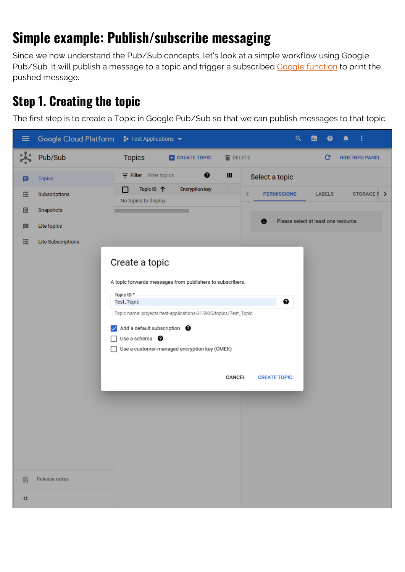# **Simple example: Publish/subscribe messaging**

Since we now understand the Pub/Sub concepts, let's look at a simple workflow using Google Pub/Sub. It will publish a message to a topic and trigger a subscribed [Google function](https://blogs.bmc.com/blogs/google-cloud-functions/) to print the pushed message.

#### **Step 1. Creating the topic**

The first step is to create a Topic in Google Pub/Sub so that we can publish messages to that topic.

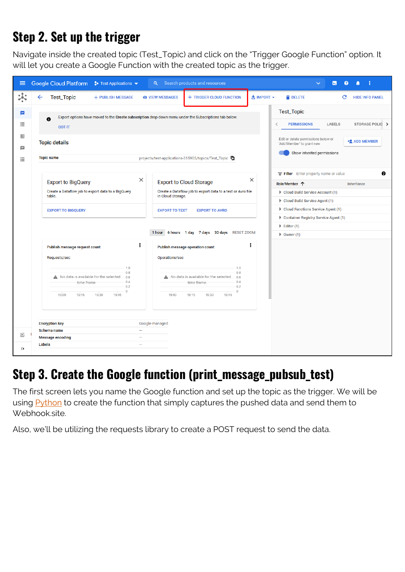## **Step 2. Set up the trigger**

Navigate inside the created topic (Test\_Topic) and click on the "Trigger Google Function" option. It will let you create a Google Function with the created topic as the trigger.



#### **Step 3. Create the Google function (print\_message\_pubsub\_test)**

The first screen lets you name the Google function and set up the topic as the trigger. We will be using [Python](https://blogs.bmc.com/blogs/python-tooling/) to create the function that simply captures the pushed data and send them to Webhook.site.

Also, we'll be utilizing the requests library to create a POST request to send the data.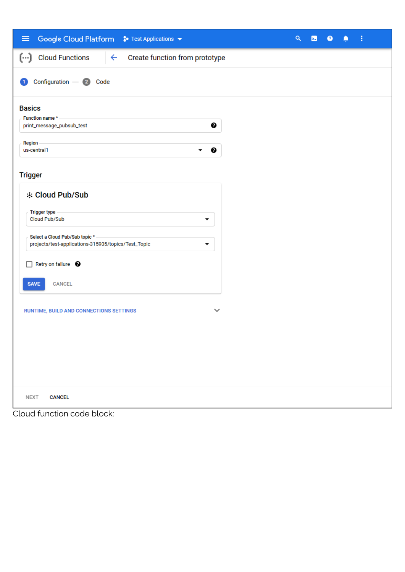| Google Cloud Platform S Test Applications v<br>$\equiv$                                                                                                                                                                                                                                                                                                                                                               | Q | $\overline{\mathbf{z}}$ | $\bullet$ | ٠ | ŧ |  |
|-----------------------------------------------------------------------------------------------------------------------------------------------------------------------------------------------------------------------------------------------------------------------------------------------------------------------------------------------------------------------------------------------------------------------|---|-------------------------|-----------|---|---|--|
| $(\cdot \cdot)$<br><b>Cloud Functions</b><br>Create function from prototype<br>$\leftarrow$                                                                                                                                                                                                                                                                                                                           |   |                         |           |   |   |  |
| Configuration - 2 Code<br>-1                                                                                                                                                                                                                                                                                                                                                                                          |   |                         |           |   |   |  |
| <b>Basics</b><br>Function name *<br>❸<br>print_message_pubsub_test<br>Region<br>us-central1<br>❷<br><b>Trigger</b><br><b>※ Cloud Pub/Sub</b><br><b>Trigger type</b><br>Cloud Pub/Sub<br>▼<br>Select a Cloud Pub/Sub topic * -<br>projects/test-applications-315905/topics/Test_Topic<br>▼<br>Retry on failure <sup>9</sup><br><b>CANCEL</b><br><b>SAVE</b><br>RUNTIME, BUILD AND CONNECTIONS SETTINGS<br>$\checkmark$ |   |                         |           |   |   |  |
| <b>NEXT</b><br><b>CANCEL</b>                                                                                                                                                                                                                                                                                                                                                                                          |   |                         |           |   |   |  |

Cloud function code block: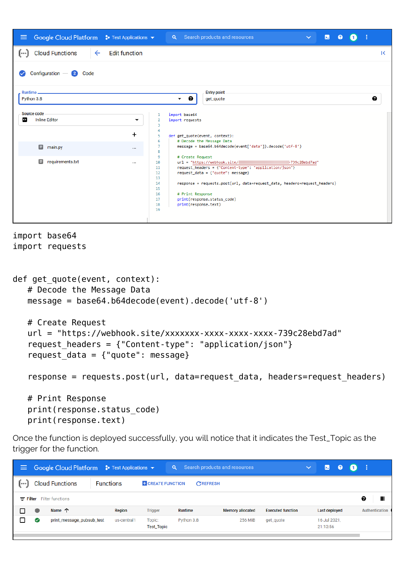

```
import base64
import requests
```

```
def get quote(event, context):
    # Decode the Message Data
    message = base64.b64decode(event).decode('utf-8')
    # Create Request
    url = "https://webhook.site/xxxxxxx-xxxx-xxxx-xxxx-739c28ebd7ad"
   request headers = {"Content-type": "application/json"}
   request data = {"quote": message}
   response = requests.post(url, data=request data, headers=request headers)
    # Print Response
    print(response.status_code)
    print(response.text)
```
Once the function is deployed successfully, you will notice that it indicates the Test\_Topic as the trigger for the function.

| Е |   | Google Cloud Platform $\bullet$ Test Applications $\bullet$ |             |                        | <b>Q</b> Search products and resources |                         | $\checkmark$             | <b>E</b> 0               | . 0. :         |
|---|---|-------------------------------------------------------------|-------------|------------------------|----------------------------------------|-------------------------|--------------------------|--------------------------|----------------|
|   |   | <b>Cloud Functions</b><br><b>Functions</b>                  |             | <b>CREATE FUNCTION</b> | CREFRESH                               |                         |                          |                          |                |
|   |   | $\equiv$ Filter Filter functions                            |             |                        |                                        |                         |                          |                          | Ш<br>0         |
|   | c | Name 个                                                      | Region      | <b>Trigger</b>         | Runtime                                | <b>Memory allocated</b> | <b>Executed function</b> | <b>Last deployed</b>     | Authentication |
|   | ✅ | print_message_pubsub_test                                   | us-central1 | Topic:<br>Test_Topic   | Python 3.8                             | <b>256 MiB</b>          | get_quote                | 16 Jul 2021,<br>21:13:56 |                |
|   |   |                                                             |             |                        |                                        |                         |                          |                          |                |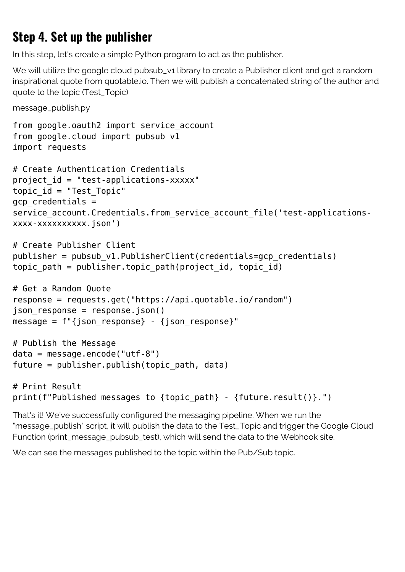### **Step 4. Set up the publisher**

In this step, let's create a simple Python program to act as the publisher.

We will utilize the google cloud pubsub\_v1 library to create a Publisher client and get a random inspirational quote from quotable.io. Then we will publish a concatenated string of the author and quote to the topic (Test\_Topic)

message\_publish.py

```
from google.oauth2 import service account
from google.cloud import pubsub_v1
import requests
# Create Authentication Credentials
project id = "test-applications-xxxxx"topic_id = "Test_Topic"
gcp_credentials =
service account.Credentials.from service account file('test-applications-
xxxx-xxxxxxxxxx.json')
# Create Publisher Client
publisher = pubsub v1.PublisherClient(creditials=qcp credentials)topic path = publisher.topic path(project id, topic id)
# Get a Random Quote
response = requests.get("https://api.quotable.io/random")
json response = response.json()
message = f''{json response} - {json response}"
# Publish the Message
data = message.encode("utf-8")
future = publisher.publish(topic_path, data)
# Print Result
print(f"Published messages to {topic path} - {future.result()}.")
```
That's it! We've successfully configured the messaging pipeline. When we run the "message\_publish" script, it will publish the data to the Test\_Topic and trigger the Google Cloud Function (print\_message\_pubsub\_test), which will send the data to the Webhook site.

We can see the messages published to the topic within the Pub/Sub topic.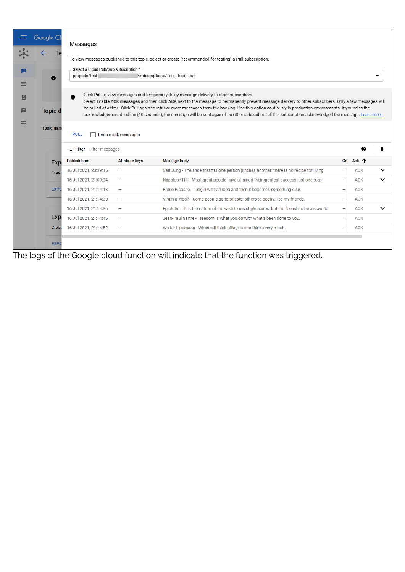| $\equiv$ | Google Cl        | Messages                                                |                       |                                                                                                                                                                                                                                                                                                                     |    |       |             |  |  |  |
|----------|------------------|---------------------------------------------------------|-----------------------|---------------------------------------------------------------------------------------------------------------------------------------------------------------------------------------------------------------------------------------------------------------------------------------------------------------------|----|-------|-------------|--|--|--|
|          | Тe               |                                                         |                       |                                                                                                                                                                                                                                                                                                                     |    |       |             |  |  |  |
|          |                  |                                                         |                       | To view messages published to this topic, select or create (recommended for testing) a Pull subscription.                                                                                                                                                                                                           |    |       |             |  |  |  |
| EI       | 0                | Select a Cloud Pub/Sub subscription *<br>projects/test- |                       | /subscriptions/Test_Topic-sub                                                                                                                                                                                                                                                                                       |    |       |             |  |  |  |
| ≡        |                  |                                                         |                       |                                                                                                                                                                                                                                                                                                                     |    |       |             |  |  |  |
| ▣        |                  | $\theta$                                                |                       | Click Pull to view messages and temporarily delay message delivery to other subscribers.<br>Select Enable ACK messages and then click ACK next to the message to permanently prevent message delivery to other subscribers. Only a few messages will                                                                |    |       |             |  |  |  |
| 目        | <b>Topic d</b>   |                                                         |                       | be pulled at a time. Click Pull again to retrieve more messages from the backlog. Use this option cautiously in production environments. If you miss the<br>acknowledgement deadline (10 seconds), the message will be sent again if no other subscribers of this subscription acknowledged the message. Learn more |    |       |             |  |  |  |
| 洼        | <b>Topic nam</b> | <b>PULL</b><br>Enable ack messages                      |                       |                                                                                                                                                                                                                                                                                                                     |    |       |             |  |  |  |
|          |                  | ℯ<br>Filter Filter messages                             |                       |                                                                                                                                                                                                                                                                                                                     |    |       |             |  |  |  |
|          | <b>Exp</b>       | <b>Publish time</b>                                     | <b>Attribute keys</b> | <b>Message body</b>                                                                                                                                                                                                                                                                                                 | On | Ack 个 |             |  |  |  |
|          | Creat            | 16 Jul 2021, 20:39:16                                   |                       | Carl Jung - The shoe that fits one person pinches another; there is no recipe for living                                                                                                                                                                                                                            |    | ACK   | $\check{ }$ |  |  |  |
|          |                  | 16 Jul 2021, 21:09:34                                   |                       | Napoleon Hill - Most great people have attained their greatest success just one step                                                                                                                                                                                                                                |    | ACK   | $\check{ }$ |  |  |  |
|          | <b>EXPC</b>      | 16 Jul 2021, 21:14:13                                   |                       | Pablo Picasso - I begin with an idea and then it becomes something else.                                                                                                                                                                                                                                            |    | ACK   |             |  |  |  |
|          |                  | 16 Jul 2021, 21:14:30                                   |                       | Virginia Woolf - Some people go to priests; others to poetry; I to my friends.                                                                                                                                                                                                                                      |    | ACK   |             |  |  |  |
|          |                  | 16 Jul 2021, 21:14:36                                   |                       | Epictetus - It is the nature of the wise to resist pleasures, but the foolish to be a slave to                                                                                                                                                                                                                      |    | ACK   | $\check{ }$ |  |  |  |
|          | Exp              | 16 Jul 2021, 21:14:45                                   |                       | Jean-Paul Sartre - Freedom is what you do with what's been done to you.                                                                                                                                                                                                                                             |    | ACK   |             |  |  |  |
|          | Creat            | 16 Jul 2021, 21:14:52                                   |                       | Walter Lippmann - Where all think alike, no one thinks very much.                                                                                                                                                                                                                                                   |    | ACK   |             |  |  |  |
|          | <b>EXPO</b>      |                                                         |                       |                                                                                                                                                                                                                                                                                                                     |    |       |             |  |  |  |

The logs of the Google cloud function will indicate that the function was triggered.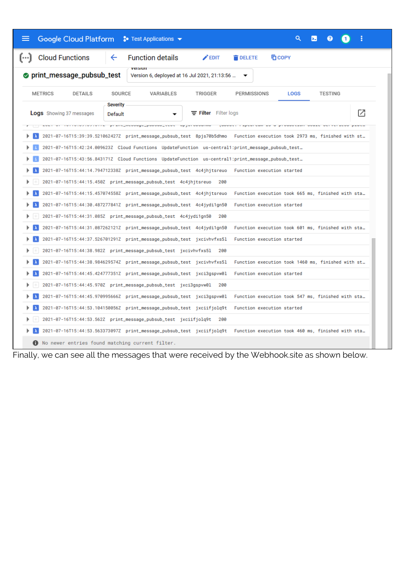| Google Cloud Platform : Test Applications ▼                                                       | Q                                                                                                                        |
|---------------------------------------------------------------------------------------------------|--------------------------------------------------------------------------------------------------------------------------|
| <b>Cloud Functions</b><br><b>Function details</b><br>←<br>$[\cdots]$                              | $\blacktriangleright$ EDIT<br><b>DELETE</b><br><b>TO COPY</b>                                                            |
| print_message_pubsub_test<br>Version 6, deployed at 16 Jul 2021, 21:13:56                         |                                                                                                                          |
| <b>DETAILS</b><br>SOURCE<br><b>METRICS</b><br>VARIABLES                                           | TRIGGER<br><b>PERMISSIONS</b><br><b>LOGS</b><br><b>TESTING</b>                                                           |
| Severity<br><b>Logs</b> Showing 37 messages<br>Default                                            | M<br>Filter Filter logs<br><u>ar aasaanna</u>                                                                            |
|                                                                                                   | 2021-07-16T15:39:39.521062427Z print_message_pubsub_test 8pjs70b5dhmo Function execution took 2973 ms, finished with st  |
| …167-16715:42:24.009623Z Cloud Functions UpdateFunction us-central1:print_message_pubsub_test     |                                                                                                                          |
| md21-07-16T15:43:56.843171Z Cloud Functions UpdateFunction us-central1:print_message_pubsub_test_ |                                                                                                                          |
| 2021-07-16T15:44:14.794712338Z print_message_pubsub_test 4c4jhjtsreuo Function execution started  |                                                                                                                          |
| 2021-07-16T15:44:15.450Z print_message_pubsub_test 4c4jhjtsreuo 200                               |                                                                                                                          |
| 2021-07-16T15:44:15.457074558Z print_message_pubsub_test 4c4jhjtsreuo                             | Function execution took 665 ms, finished with sta                                                                        |
| 2021-07-16T15:44:30.487277841Z print_message_pubsub_test 4c4jydi1gn50                             | Function execution started                                                                                               |
| 2021-07-16T15:44:31.085Z print_message_pubsub_test 4c4jydi1gn50 200                               |                                                                                                                          |
| 2021-07-16T15:44:31.087262121Z print_message_pubsub_test 4c4jydi1gn50                             | Function execution took 601 ms, finished with sta                                                                        |
| 2021-07-16T15:44:37.526701291Z print_message_pubsub_test jxcivhvfxs51                             | Function execution started                                                                                               |
| 2021-07-16T15:44:38.982Z print_message_pubsub_test jxcivhvfxs51 200                               |                                                                                                                          |
| 2021-07-16T15:44:38.984629574Z print_message_pubsub_test jxcivhvfxs51                             | Function execution took 1460 ms, finished with st                                                                        |
| 2021-07-16T15:44:45.424777351Z print_message_pubsub_test jxci3gspvw0l                             | Function execution started                                                                                               |
| 2021-07-16T15:44:45.970Z print_message_pubsub_test jxci3gspvw01 200                               |                                                                                                                          |
| 2021-07-16T15:44:45.970995666Z print_message_pubsub_test jxci3gspvw0l                             | Function execution took 547 ms, finished with sta                                                                        |
|                                                                                                   | Function execution started                                                                                               |
| 2021-07-16T15:44:53.104150056Z print_message_pubsub_test jxciifjolq9t                             |                                                                                                                          |
| 2021-07-16T15:44:53.562Z print_message_pubsub_test jxciifjolq9t 200                               |                                                                                                                          |
|                                                                                                   | 2021-07-16T15:44:53.563373097Z print_message_pubsub_test jxciifjolq9t Function execution took 460 ms, finished with sta… |
| No newer entries found matching current filter.                                                   |                                                                                                                          |

Finally, we can see all the messages that were received by the Webhook.site as shown below.